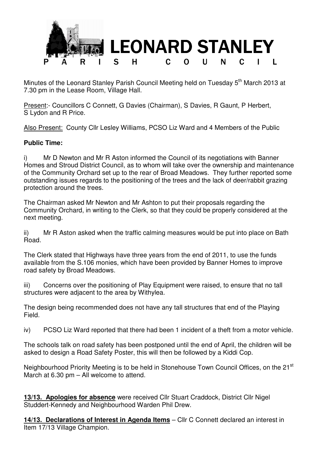

Minutes of the Leonard Stanley Parish Council Meeting held on Tuesday 5<sup>th</sup> March 2013 at 7.30 pm in the Lease Room, Village Hall.

Present:- Councillors C Connett, G Davies (Chairman), S Davies, R Gaunt, P Herbert, S Lydon and R Price.

Also Present: County Cllr Lesley Williams, PCSO Liz Ward and 4 Members of the Public

## **Public Time:**

i) Mr D Newton and Mr R Aston informed the Council of its negotiations with Banner Homes and Stroud District Council, as to whom will take over the ownership and maintenance of the Community Orchard set up to the rear of Broad Meadows. They further reported some outstanding issues regards to the positioning of the trees and the lack of deer/rabbit grazing protection around the trees.

The Chairman asked Mr Newton and Mr Ashton to put their proposals regarding the Community Orchard, in writing to the Clerk, so that they could be properly considered at the next meeting.

ii) Mr R Aston asked when the traffic calming measures would be put into place on Bath Road.

The Clerk stated that Highways have three years from the end of 2011, to use the funds available from the S.106 monies, which have been provided by Banner Homes to improve road safety by Broad Meadows.

iii) Concerns over the positioning of Play Equipment were raised, to ensure that no tall structures were adjacent to the area by Withylea.

The design being recommended does not have any tall structures that end of the Playing Field.

iv) PCSO Liz Ward reported that there had been 1 incident of a theft from a motor vehicle.

The schools talk on road safety has been postponed until the end of April, the children will be asked to design a Road Safety Poster, this will then be followed by a Kiddi Cop.

Neighbourhood Priority Meeting is to be held in Stonehouse Town Council Offices, on the 21<sup>st</sup> March at 6.30 pm – All welcome to attend.

**13/13. Apologies for absence** were received Cllr Stuart Craddock, District Cllr Nigel Studdert-Kennedy and Neighbourhood Warden Phil Drew.

**14/13. Declarations of Interest in Agenda Items** – Cllr C Connett declared an interest in Item 17/13 Village Champion.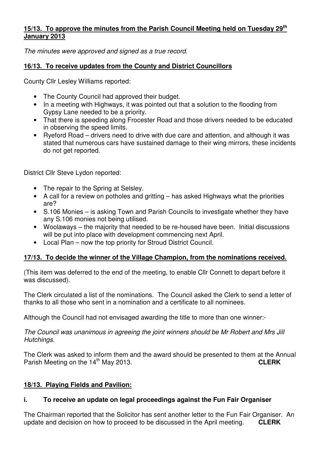## **15/13. To approve the minutes from the Parish Council Meeting held on Tuesday 29th January 2013**

The minutes were approved and signed as a true record.

## **16/13. To receive updates from the County and District Councillors**

County Cllr Lesley Williams reported:

- The County Council had approved their budget.
- In a meeting with Highways, it was pointed out that a solution to the flooding from Gypsy Lane needed to be a priority.
- That there is speeding along Frocester Road and those drivers needed to be educated in observing the speed limits.
- Ryeford Road drivers need to drive with due care and attention, and although it was stated that numerous cars have sustained damage to their wing mirrors, these incidents do not get reported.

District Cllr Steve Lydon reported:

- The repair to the Spring at Selsley.
- A call for a review on potholes and gritting has asked Highways what the priorities are?
- S.106 Monies is asking Town and Parish Councils to investigate whether they have any S.106 monies not being utilised.
- Woolaways the majority that needed to be re-housed have been. Initial discussions will be put into place with development commencing next April.
- Local Plan now the top priority for Stroud District Council.

# **17/13. To decide the winner of the Village Champion, from the nominations received.**

(This item was deferred to the end of the meeting, to enable Cllr Connett to depart before it was discussed).

The Clerk circulated a list of the nominations. The Council asked the Clerk to send a letter of thanks to all those who sent in a nomination and a certificate to all nominees.

Although the Council had not envisaged awarding the title to more than one winner:-

The Council was unanimous in agreeing the joint winners should be Mr Robert and Mrs Jill Hutchings.

The Clerk was asked to inform them and the award should be presented to them at the Annual Parish Meeting on the 14<sup>th</sup> May 2013. **CLERK** 

# **18/13. Playing Fields and Pavilion:**

# **i. To receive an update on legal proceedings against the Fun Fair Organiser**

The Chairman reported that the Solicitor has sent another letter to the Fun Fair Organiser. An update and decision on how to proceed to be discussed in the April meeting. **CLERK**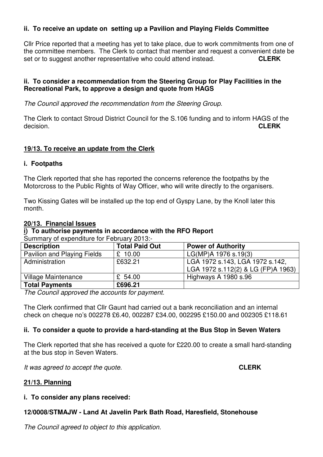#### **ii. To receive an update on setting up a Pavilion and Playing Fields Committee**

Cllr Price reported that a meeting has yet to take place, due to work commitments from one of the committee members. The Clerk to contact that member and request a convenient date be set or to suggest another representative who could attend instead. **CLERK**

## **ii. To consider a recommendation from the Steering Group for Play Facilities in the Recreational Park, to approve a design and quote from HAGS**

The Council approved the recommendation from the Steering Group.

The Clerk to contact Stroud District Council for the S.106 funding and to inform HAGS of the decision. **CLERK**

#### **19/13. To receive an update from the Clerk**

#### **i. Footpaths**

The Clerk reported that she has reported the concerns reference the footpaths by the Motorcross to the Public Rights of Way Officer, who will write directly to the organisers.

Two Kissing Gates will be installed up the top end of Gyspy Lane, by the Knoll later this month.

#### **20/13. Financial Issues**

## **i) To authorise payments in accordance with the RFO Report**

Summary of expenditure for February 2013:-

| <b>Description</b>          | <b>Total Paid Out</b> | <b>Power of Authority</b>                                             |
|-----------------------------|-----------------------|-----------------------------------------------------------------------|
| Pavilion and Playing Fields | $£$ 10.00             | LG(MP)A 1976 s.19(3)                                                  |
| Administration              | £632.21               | LGA 1972 s.143, LGA 1972 s.142,<br>LGA 1972 s.112(2) & LG (FP)A 1963) |
| Village Maintenance         | £ 54.00               | Highways A 1980 s.96                                                  |
| <b>Total Payments</b>       | £696.21               |                                                                       |

The Council approved the accounts for payment.

The Clerk confirmed that Cllr Gaunt had carried out a bank reconciliation and an internal check on cheque no's 002278 £6.40, 002287 £34.00, 002295 £150.00 and 002305 £118.61

## **ii. To consider a quote to provide a hard-standing at the Bus Stop in Seven Waters**

The Clerk reported that she has received a quote for £220.00 to create a small hard-standing at the bus stop in Seven Waters.

It was agreed to accept the quote. **CLERK**

## **21/13. Planning**

## **i. To consider any plans received:**

## **12/0008/STMAJW - Land At Javelin Park Bath Road, Haresfield, Stonehouse**

The Council agreed to object to this application.